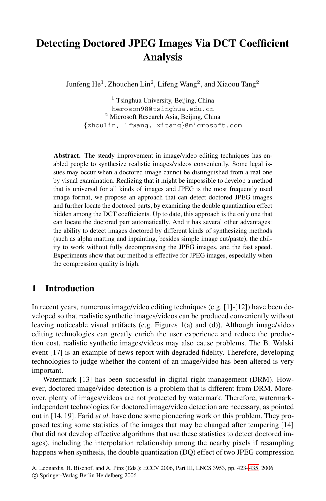# **Detecting Doctored JPEG Images Via DCT Coefficient Analysis**

Junfeng He<sup>1</sup>, Zhouchen Lin<sup>2</sup>, Lifeng Wang<sup>2</sup>, and Xiaoou Tang<sup>2</sup>

 $<sup>1</sup>$  Tsinghua University, Beijing, China</sup> heroson98@tsinghua.edu.cn <sup>2</sup> Microsoft Research Asia, Beijing, China {zhoulin, lfwang, xitang}@microsoft.com

**Abstract.** The steady improvement in image/video editing techniques has enabled people to synthesize realistic images/videos conveniently. Some legal issues may occur when a doctored image cannot be distinguished from a real one by visual examination. Realizing that it might be impossible to develop a method that is universal for all kinds of images and JPEG is the most frequently used image format, we propose an approach that can detect doctored JPEG images and further locate the doctored parts, by examining the double quantization effect hidden among the DCT coefficients. Up to date, this approach is the only one that can locate the doctored part automatically. And it has several other advantages: the ability to detect images doctored by different kinds of synthesizing methods (such as alpha matting and inpainting, besides simple image cut/paste), the ability to work without fully decompressing the JPEG images, and the fast speed. Experiments show that our method is effective for JPEG images, especially when the compression quality is high.

# **1 Introduction**

In recent years, numerous image/video editing techniques (e.g. [1]-[12]) have been developed so that realistic synthetic images/videos can be produced conveniently without leaving noticeable visual artifacts (e.g. Figures 1(a) and (d)). Although image/video editing technologies can greatly enrich the user experience and reduce the production cost, realistic synthetic images/videos may also cause problems. The B. Walski event [17] is an example of news report with degraded fidelity. Therefore, developing technologies to judge whether the content of an image/video has been altered is very important.

Watermark [13] has been successful in digital right management (DRM). However, doctored image/video detection is a problem that is different from DRM. Moreover, plenty of images/videos are not protected by watermark. Therefore, watermarkindependent technologies for doctored image/video detection are necessary, as pointed out in [14, 19]. Farid *et al.* have done some pioneering work on this problem. They proposed testing some statistics of the images that may be changed after tempering [14] (but did not develop effective algorithms that use these statistics to detect doctored images), including the interpolation relationship among the nearby pixels if resampling happens when synthesis, the double quantization (DQ) effect of two JPEG compression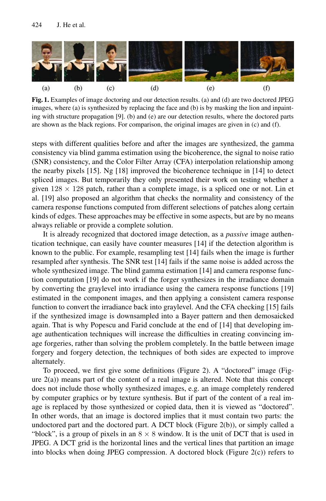

**Fig. 1.** Examples of image doctoring and our detection results. (a) and (d) are two doctored JPEG images, where (a) is synthesized by replacing the face and (b) is by masking the lion and inpainting with structure propagation [9]. (b) and (e) are our detection results, where the doctored parts are shown as the black regions. For comparison, the original images are given in (c) and (f).

steps with different qualities before and after the images are synthesized, the gamma consistency via blind gamma estimation using the bicoherence, the signal to noise ratio (SNR) consistency, and the Color Filter Array (CFA) interpolation relationship among the nearby pixels [15]. Ng [18] improved the bicoherence technique in [14] to detect spliced images. But temporarily they only presented their work on testing whether a given  $128 \times 128$  patch, rather than a complete image, is a spliced one or not. Lin et al. [19] also proposed an algorithm that checks the normality and consistency of the camera response functions computed from different selections of patches along certain kinds of edges. These approaches may be effective in some aspects, but are by no means always reliable or provide a complete solution.

It is already recognized that doctored image detection, as a *passive* image authentication technique, can easily have counter measures [14] if the detection algorithm is known to the public. For example, resampling test [14] fails when the image is further resampled after synthesis. The SNR test [14] fails if the same noise is added across the whole synthesized image. The blind gamma estimation [14] and camera response function computation [19] do not work if the forger synthesizes in the irradiance domain by converting the graylevel into irradiance using the camera response functions [19] estimated in the component images, and then applying a consistent camera response function to convert the irradiance back into graylevel. And the CFA checking [15] fails if the synthesized image is downsampled into a Bayer pattern and then demosaicked again. That is why Popescu and Farid conclude at the end of [14] that developing image authentication techniques will increase the difficulties in creating convincing image forgeries, rather than solving the problem completely. In the battle between image forgery and forgery detection, the techniques of both sides are expected to improve alternately.

To proceed, we first give some definitions (Figure 2). A "doctored" image (Figure 2(a)) means part of the content of a real image is altered. Note that this concept does not include those wholly synthesized images, e.g. an image completely rendered by computer graphics or by texture synthesis. But if part of the content of a real image is replaced by those synthesized or copied data, then it is viewed as "doctored". In other words, that an image is doctored implies that it must contain two parts: the undoctored part and the doctored part. A DCT block (Figure 2(b)), or simply called a "block", is a group of pixels in an  $8 \times 8$  window. It is the unit of DCT that is used in JPEG. A DCT grid is the horizontal lines and the vertical lines that partition an image into blocks when doing JPEG compression. A doctored block (Figure 2(c)) refers to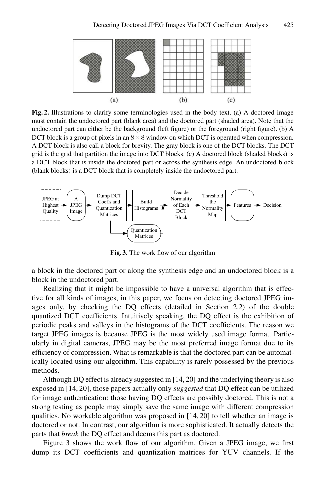

**Fig. 2.** Illustrations to clarify some terminologies used in the body text. (a) A doctored image must contain the undoctored part (blank area) and the doctored part (shaded area). Note that the undoctored part can either be the background (left figure) or the foreground (right figure). (b) A DCT block is a group of pixels in an  $8 \times 8$  window on which DCT is operated when compression. A DCT block is also call a block for brevity. The gray block is one of the DCT blocks. The DCT grid is the grid that partition the image into DCT blocks. (c) A doctored block (shaded blocks) is a DCT block that is inside the doctored part or across the synthesis edge. An undoctored block (blank blocks) is a DCT block that is completely inside the undoctored part.



**Fig. 3.** The work flow of our algorithm

a block in the doctored part or along the synthesis edge and an undoctored block is a block in the undoctored part.

Realizing that it might be impossible to have a universal algorithm that is effective for all kinds of images, in this paper, we focus on detecting doctored JPEG images only, by checking the DQ effects (detailed in Section 2.2) of the double quantized DCT coefficients. Intuitively speaking, the DQ effect is the exhibition of periodic peaks and valleys in the histograms of the DCT coefficients. The reason we target JPEG images is because JPEG is the most widely used image format. Particularly in digital cameras, JPEG may be the most preferred image format due to its efficiency of compression. What is remarkable is that the doctored part can be automatically located using our algorithm. This capability is rarely possessed by the previous methods.

Although DQ effect is already suggested in [14, 20] and the underlying theory is also exposed in [14, 20], those papers actually only *suggested* that DQ effect can be utilized for image authentication: those having DQ effects are possibly doctored. This is not a strong testing as people may simply save the same image with different compression qualities. No workable algorithm was proposed in [14, 20] to tell whether an image is doctored or not. In contrast, our algorithm is more sophisticated. It actually detects the parts that *break* the DQ effect and deems this part as doctored.

Figure 3 shows the work flow of our algorithm. Given a JPEG image, we first dump its DCT coefficients and quantization matrices for YUV channels. If the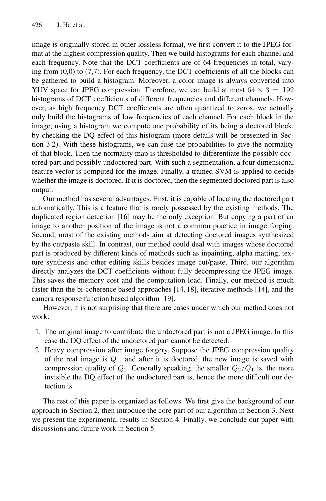image is originally stored in other lossless format, we first convert it to the JPEG format at the highest compression quality. Then we build histograms for each channel and each frequency. Note that the DCT coefficients are of 64 frequencies in total, varying from  $(0,0)$  to  $(7,7)$ . For each frequency, the DCT coefficients of all the blocks can be gathered to build a histogram. Moreover, a color image is always converted into YUV space for JPEG compression. Therefore, we can build at most  $64 \times 3 = 192$ histograms of DCT coefficients of different frequencies and different channels. However, as high frequency DCT coefficients are often quantized to zeros, we actually only build the histograms of low frequencies of each channel. For each block in the image, using a histogram we compute one probability of its being a doctored block, by checking the DQ effect of this histogram (more details will be presented in Section 3.2). With these histograms, we can fuse the probabilities to give the normality of that block. Then the normality map is thresholded to differentiate the possibly doctored part and possibly undoctored part. With such a segmentation, a four dimensional feature vector is computed for the image. Finally, a trained SVM is applied to decide whether the image is doctored. If it is doctored, then the segmented doctored part is also output.

Our method has several advantages. First, it is capable of locating the doctored part automatically. This is a feature that is rarely possessed by the existing methods. The duplicated region detection [16] may be the only exception. But copying a part of an image to another position of the image is not a common practice in image forging. Second, most of the existing methods aim at detecting doctored images synthesized by the cut/paste skill. In contrast, our method could deal with images whose doctored part is produced by different kinds of methods such as inpainting, alpha matting, texture synthesis and other editing skills besides image cut/paste. Third, our algorithm directly analyzes the DCT coefficients without fully decompressing the JPEG image. This saves the memory cost and the computation load. Finally, our method is much faster than the bi-coherence based approaches [14, 18], iterative methods [14], and the camera response function based algorithm [19].

However, it is not surprising that there are cases under which our method does not work:

- 1. The original image to contribute the undoctored part is not a JPEG image. In this case the DQ effect of the undoctored part cannot be detected.
- 2. Heavy compression after image forgery. Suppose the JPEG compression quality of the real image is  $Q_1$ , and after it is doctored, the new image is saved with compression quality of  $Q_2$ . Generally speaking, the smaller  $Q_2/Q_1$  is, the more invisible the DQ effect of the undoctored part is, hence the more difficult our detection is.

The rest of this paper is organized as follows. We first give the background of our approach in Section 2, then introduce the core part of our algorithm in Section 3. Next we present the experimental results in Section 4. Finally, we conclude our paper with discussions and future work in Section 5.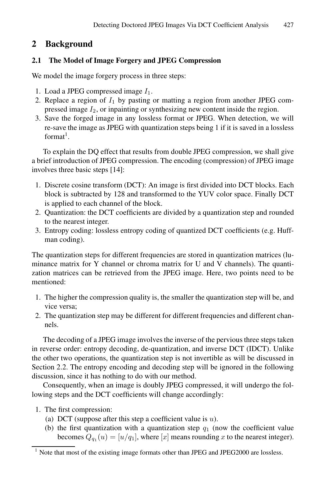# **2 Background**

## **2.1 The Model of Image Forgery and JPEG Compression**

We model the image forgery process in three steps:

- 1. Load a JPEG compressed image  $I_1$ .
- 2. Replace a region of  $I_1$  by pasting or matting a region from another JPEG compressed image  $I_2$ , or inpainting or synthesizing new content inside the region.
- 3. Save the forged image in any lossless format or JPEG. When detection, we will re-save the image as JPEG with quantization steps being 1 if it is saved in a lossless  $format<sup>1</sup>$ .

To explain the DQ effect that results from double JPEG compression, we shall give a brief introduction of JPEG compression. The encoding (compression) of JPEG image involves three basic steps [14]:

- 1. Discrete cosine transform (DCT): An image is first divided into DCT blocks. Each block is subtracted by 128 and transformed to the YUV color space. Finally DCT is applied to each channel of the block.
- 2. Quantization: the DCT coefficients are divided by a quantization step and rounded to the nearest integer.
- 3. Entropy coding: lossless entropy coding of quantized DCT coefficients (e.g. Huffman coding).

The quantization steps for different frequencies are stored in quantization matrices (luminance matrix for Y channel or chroma matrix for U and V channels). The quantization matrices can be retrieved from the JPEG image. Here, two points need to be mentioned:

- 1. The higher the compression quality is, the smaller the quantization step will be, and vice versa;
- 2. The quantization step may be different for different frequencies and different channels.

The decoding of a JPEG image involves the inverse of the pervious three steps taken in reverse order: entropy decoding, de-quantization, and inverse DCT (IDCT). Unlike the other two operations, the quantization step is not invertible as will be discussed in Section 2.2. The entropy encoding and decoding step will be ignored in the following discussion, since it has nothing to do with our method.

Consequently, when an image is doubly JPEG compressed, it will undergo the following steps and the DCT coefficients will change accordingly:

- 1. The first compression:
	- (a) DCT (suppose after this step a coefficient value is  $u$ ).
	- (b) the first quantization with a quantization step  $q_1$  (now the coefficient value becomes  $Q_{q_1}(u)=[u/q_1]$ , where [x] means rounding x to the nearest integer).

 $1$  Note that most of the existing image formats other than JPEG and JPEG2000 are lossless.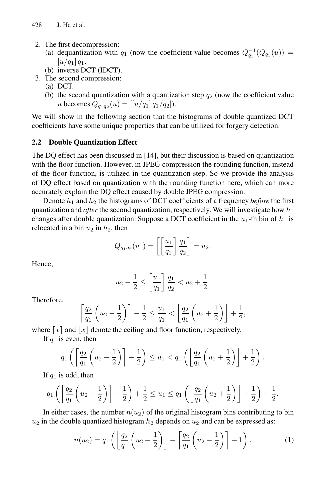- 2. The first decompression:
	- (a) dequantization with  $q_1$  (now the coefficient value becomes  $Q_{q_1}^{-1}(Q_{q_1}(u)) =$  $[u/q_1]$   $q_1$ .
	- (b) inverse DCT (IDCT).
- 3. The second compression:
	- (a) DCT.
	- (b) the second quantization with a quantization step  $q_2$  (now the coefficient value u becomes  $Q_{q_1q_2}(u) = [[u/q_1] q_1/q_2]).$

We will show in the following section that the histograms of double quantized DCT coefficients have some unique properties that can be utilized for forgery detection.

#### **2.2 Double Quantization Effect**

The DQ effect has been discussed in [14], but their discussion is based on quantization with the floor function. However, in JPEG compression the rounding function, instead of the floor function, is utilized in the quantization step. So we provide the analysis of DQ effect based on quantization with the rounding function here, which can more accurately explain the DQ effect caused by double JPEG compression.

Denote  $h_1$  and  $h_2$  the histograms of DCT coefficients of a frequency *before* the first quantization and *after* the second quantization, respectively. We will investigate how  $h_1$ changes after double quantization. Suppose a DCT coefficient in the  $u_1$ -th bin of  $h_1$  is relocated in a bin  $u_2$  in  $h_2$ , then

$$
Q_{q_1q_2}(u_1)=\left[\left[\frac{u_1}{q_1}\right]\frac{q_1}{q_2}\right]=u_2.
$$

Hence,

$$
u_2 - \frac{1}{2} \le \left[\frac{u_1}{q_1}\right] \frac{q_1}{q_2} < u_2 + \frac{1}{2}.
$$

Therefore,

$$
\left\lceil \frac{q_2}{q_1} \left( u_2 - \frac{1}{2} \right) \right\rceil - \frac{1}{2} \le \frac{u_1}{q_1} < \left\lfloor \frac{q_2}{q_1} \left( u_2 + \frac{1}{2} \right) \right\rfloor + \frac{1}{2},
$$
  
where  $\lceil x \rceil$  and  $\lfloor x \rfloor$  denote the ceiling and floor function, respectively.

If  $q_1$  is even, then

$$
q_1\left(\left\lceil \frac{q_2}{q_1}\left(u_2-\frac{1}{2}\right)\right\rceil - \frac{1}{2}\right) \leq u_1 < q_1\left(\left\lfloor \frac{q_2}{q_1}\left(u_2+\frac{1}{2}\right)\right\rfloor + \frac{1}{2}\right).
$$

If  $q_1$  is odd, then

$$
q_1\left(\left\lceil\frac{q_2}{q_1}\left(u_2-\frac{1}{2}\right)\right\rceil-\frac{1}{2}\right)+\frac{1}{2}\leq u_1\leq q_1\left(\left\lfloor\frac{q_2}{q_1}\left(u_2+\frac{1}{2}\right)\right\rfloor+\frac{1}{2}\right)-\frac{1}{2}.
$$

In either cases, the number  $n(u_2)$  of the original histogram bins contributing to bin  $u_2$  in the double quantized histogram  $h_2$  depends on  $u_2$  and can be expressed as:

$$
n(u_2) = q_1 \left( \left\lfloor \frac{q_2}{q_1} \left( u_2 + \frac{1}{2} \right) \right\rfloor - \left\lceil \frac{q_2}{q_1} \left( u_2 - \frac{1}{2} \right) \right\rceil + 1 \right). \tag{1}
$$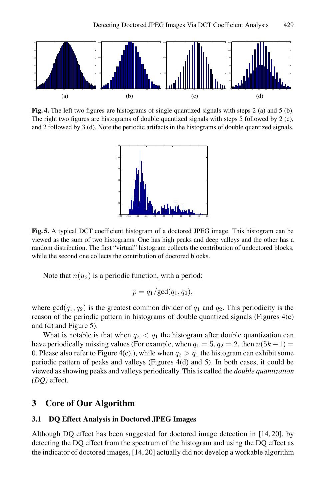

**Fig. 4.** The left two figures are histograms of single quantized signals with steps 2 (a) and 5 (b). The right two figures are histograms of double quantized signals with steps 5 followed by  $2$  (c), and 2 followed by 3 (d). Note the periodic artifacts in the histograms of double quantized signals.



**Fig. 5.** A typical DCT coefficient histogram of a doctored JPEG image. This histogram can be viewed as the sum of two histograms. One has high peaks and deep valleys and the other has a random distribution. The first "virtual" histogram collects the contribution of undoctored blocks, while the second one collects the contribution of doctored blocks.

Note that  $n(u_2)$  is a periodic function, with a period:

$$
p = q_1/\gcd(q_1, q_2),
$$

where  $gcd(q_1, q_2)$  is the greatest common divider of  $q_1$  and  $q_2$ . This periodicity is the reason of the periodic pattern in histograms of double quantized signals (Figures 4(c) and (d) and Figure 5).

What is notable is that when  $q_2 < q_1$  the histogram after double quantization can have periodically missing values (For example, when  $q_1 = 5$ ,  $q_2 = 2$ , then  $n(5k+1) =$ 0. Please also refer to Figure 4(c).), while when  $q_2 > q_1$  the histogram can exhibit some periodic pattern of peaks and valleys (Figures 4(d) and 5). In both cases, it could be viewed as showing peaks and valleys periodically. This is called the *double quantization (DQ)* effect.

# **3 Core of Our Algorithm**

#### **3.1 DQ Effect Analysis in Doctored JPEG Images**

Although DQ effect has been suggested for doctored image detection in [14, 20], by detecting the DQ effect from the spectrum of the histogram and using the DQ effect as the indicator of doctored images, [14, 20] actually did not develop a workable algorithm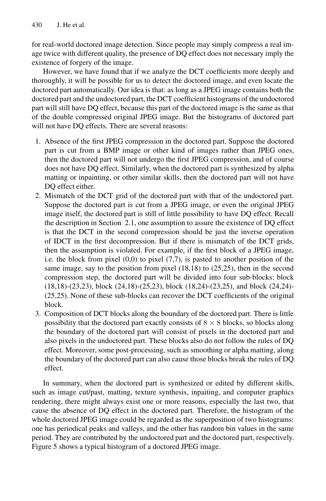for real-world doctored image detection. Since people may simply compress a real image twice with different quality, the presence of DQ effect does not necessary imply the existence of forgery of the image.

However, we have found that if we analyze the DCT coefficients more deeply and thoroughly, it will be possible for us to detect the doctored image, and even locate the doctored part automatically. Our idea is that: as long as a JPEG image contains both the doctored part and the undoctored part, the DCT coefficient histograms of the undoctored part will still have DQ effect, because this part of the doctored image is the same as that of the double compressed original JPEG image. But the histograms of doctored part will not have DQ effects. There are several reasons:

- 1. Absence of the first JPEG compression in the doctored part. Suppose the doctored part is cut from a BMP image or other kind of images rather than JPEG ones, then the doctored part will not undergo the first JPEG compression, and of course does not have DQ effect. Similarly, when the doctored part is synthesized by alpha matting or inpainting, or other similar skills, then the doctored part will not have DQ effect either.
- 2. Mismatch of the DCT grid of the doctored part with that of the undoctored part. Suppose the doctored part is cut from a JPEG image, or even the original JPEG image itself, the doctored part is still of little possibility to have DQ effect. Recall the description in Section 2.1, one assumption to assure the existence of DQ effect is that the DCT in the second compression should be just the inverse operation of IDCT in the first decompression. But if there is mismatch of the DCT grids, then the assumption is violated. For example, if the first block of a JPEG image, i.e. the block from pixel  $(0,0)$  to pixel  $(7,7)$ , is pasted to another position of the same image, say to the position from pixel (18,18) to (25,25), then in the second compression step, the doctored part will be divided into four sub-blocks: block (18,18)-(23,23), block (24,18)-(25,23), block (18,24)-(23,25), and block (24,24)- (25,25). None of these sub-blocks can recover the DCT coefficients of the original block.
- 3. Composition of DCT blocks along the boundary of the doctored part. There is little possibility that the doctored part exactly consists of  $8 \times 8$  blocks, so blocks along the boundary of the doctored part will consist of pixels in the doctored part and also pixels in the undoctored part. These blocks also do not follow the rules of DQ effect. Moreover, some post-processing, such as smoothing or alpha matting, along the boundary of the doctored part can also cause those blocks break the rules of DQ effect.

In summary, when the doctored part is synthesized or edited by different skills, such as image cut/past, matting, texture synthesis, inpaiting, and computer graphics rendering, there might always exist one or more reasons, especially the last two, that cause the absence of DQ effect in the doctored part. Therefore, the histogram of the whole doctored JPEG image could be regarded as the superposition of two histograms: one has periodical peaks and valleys, and the other has random bin values in the same period. They are contributed by the undoctored part and the doctored part, respectively. Figure 5 shows a typical histogram of a doctored JPEG image.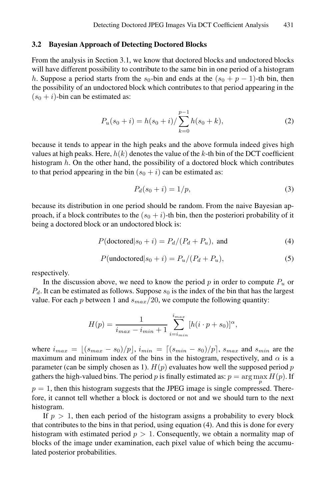#### **3.2 Bayesian Approach of Detecting Doctored Blocks**

From the analysis in Section 3.1, we know that doctored blocks and undoctored blocks will have different possibility to contribute to the same bin in one period of a histogram h. Suppose a period starts from the  $s_0$ -bin and ends at the  $(s_0 + p - 1)$ -th bin, then the possibility of an undoctored block which contributes to that period appearing in the  $(s_0 + i)$ -bin can be estimated as:

$$
P_u(s_0 + i) = h(s_0 + i) / \sum_{k=0}^{p-1} h(s_0 + k),
$$
\n(2)

because it tends to appear in the high peaks and the above formula indeed gives high values at high peaks. Here,  $h(k)$  denotes the value of the k-th bin of the DCT coefficient histogram  $h$ . On the other hand, the possibility of a doctored block which contributes to that period appearing in the bin  $(s_0 + i)$  can be estimated as:

$$
P_d(s_0+i) = 1/p,\tag{3}
$$

because its distribution in one period should be random. From the naive Bayesian approach, if a block contributes to the  $(s_0 + i)$ -th bin, then the posteriori probability of it being a doctored block or an undoctored block is:

$$
P(\text{doctored}|s_0 + i) = P_d/(P_d + P_u), \text{ and} \tag{4}
$$

$$
P(\text{undoctored}|s_0 + i) = P_u/(P_d + P_u),\tag{5}
$$

respectively.

In the discussion above, we need to know the period p in order to compute  $P_u$  or  $P<sub>d</sub>$ . It can be estimated as follows. Suppose  $s<sub>0</sub>$  is the index of the bin that has the largest value. For each p between 1 and  $s_{max}/20$ , we compute the following quantity:

$$
H(p) = \frac{1}{i_{max} - i_{min} + 1} \sum_{i = i_{min}}^{i_{max}} [h(i \cdot p + s_0)]^{\alpha},
$$

where  $i_{max} = \lfloor (s_{max} - s_0)/p \rfloor$ ,  $i_{min} = \lfloor (s_{min} - s_0)/p \rfloor$ ,  $s_{max}$  and  $s_{min}$  are the maximum and minimum index of the bins in the bistogram respectively and  $\alpha$  is a maximum and minimum index of the bins in the histogram, respectively, and  $\alpha$  is a parameter (can be simply chosen as 1).  $H(p)$  evaluates how well the supposed period p gathers the high-valued bins. The period p is finally estimated as:  $p = \arg \max H(p)$ . If

 $p = 1$ , then this histogram suggests that the JPEG image is single compressed. Therefore, it cannot tell whether a block is doctored or not and we should turn to the next histogram.

If  $p > 1$ , then each period of the histogram assigns a probability to every block that contributes to the bins in that period, using equation (4). And this is done for every histogram with estimated period  $p > 1$ . Consequently, we obtain a normality map of blocks of the image under examination, each pixel value of which being the accumulated posterior probabilities.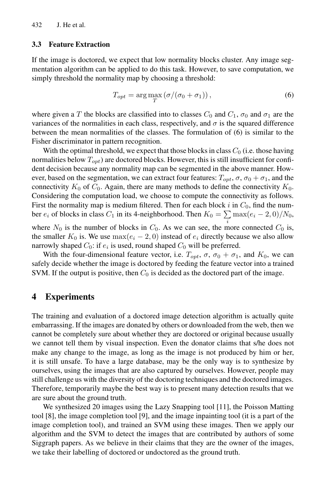#### **3.3 Feature Extraction**

If the image is doctored, we expect that low normality blocks cluster. Any image segmentation algorithm can be applied to do this task. However, to save computation, we simply threshold the normality map by choosing a threshold:

$$
T_{opt} = \arg\max_{T} (\sigma/(\sigma_0 + \sigma_1)), \qquad (6)
$$

where given a T the blocks are classified into to classes  $C_0$  and  $C_1$ ,  $\sigma_0$  and  $\sigma_1$  are the variances of the normalities in each class, respectively, and  $\sigma$  is the squared difference between the mean normalities of the classes. The formulation of (6) is similar to the Fisher discriminator in pattern recognition.

With the optimal threshold, we expect that those blocks in class  $C_0$  (i.e. those having normalities below  $T_{opt}$ ) are doctored blocks. However, this is still insufficient for confident decision because any normality map can be segmented in the above manner. However, based on the segmentation, we can extract four features:  $T_{opt}$ ,  $\sigma$ ,  $\sigma_0 + \sigma_1$ , and the connectivity  $K_0$  of  $C_0$ . Again, there are many methods to define the connectivity  $K_0$ . Considering the computation load, we choose to compute the connectivity as follows. First the normality map is medium filtered. Then for each block i in  $C_0$ , find the number  $e_i$  of blocks in class  $C_1$  in its 4-neighborhood. Then  $K_0 = \sum_i$  $\sum_{i} \max(e_i - 2, 0) / N_0,$ 

where  $N_0$  is the number of blocks in  $C_0$ . As we can see, the more connected  $C_0$  is, the smaller  $K_0$  is. We use  $\max(e_i - 2, 0)$  instead of  $e_i$  directly because we also allow narrowly shaped  $C_0$ : if  $e_i$  is used, round shaped  $C_0$  will be preferred.

With the four-dimensional feature vector, i.e.  $T_{opt}$ ,  $\sigma$ ,  $\sigma_0 + \sigma_1$ , and  $K_0$ , we can safely decide whether the image is doctored by feeding the feature vector into a trained SVM. If the output is positive, then  $C_0$  is decided as the doctored part of the image.

### **4 Experiments**

The training and evaluation of a doctored image detection algorithm is actually quite embarrassing. If the images are donated by others or downloaded from the web, then we cannot be completely sure about whether they are doctored or original because usually we cannot tell them by visual inspection. Even the donator claims that s/he does not make any change to the image, as long as the image is not produced by him or her, it is still unsafe. To have a large database, may be the only way is to synthesize by ourselves, using the images that are also captured by ourselves. However, people may still challenge us with the diversity of the doctoring techniques and the doctored images. Therefore, temporarily maybe the best way is to present many detection results that we are sure about the ground truth.

We synthesized 20 images using the Lazy Snapping tool [11], the Poisson Matting tool [8], the image completion tool [9], and the image inpainting tool (it is a part of the image completion tool), and trained an SVM using these images. Then we apply our algorithm and the SVM to detect the images that are contributed by authors of some Siggraph papers. As we believe in their claims that they are the owner of the images, we take their labelling of doctored or undoctored as the ground truth.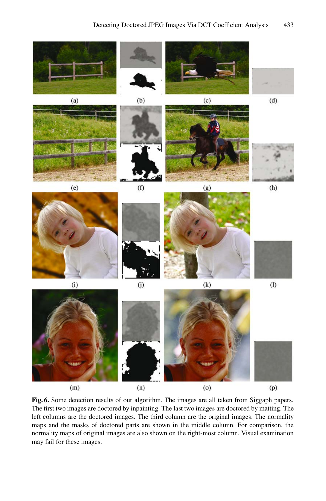

**Fig. 6.** Some detection results of our algorithm. The images are all taken from Siggaph papers. The first two images are doctored by inpainting. The last two images are doctored by matting. The left columns are the doctored images. The third column are the original images. The normality maps and the masks of doctored parts are shown in the middle column. For comparison, the normality maps of original images are also shown on the right-most column. Visual examination may fail for these images.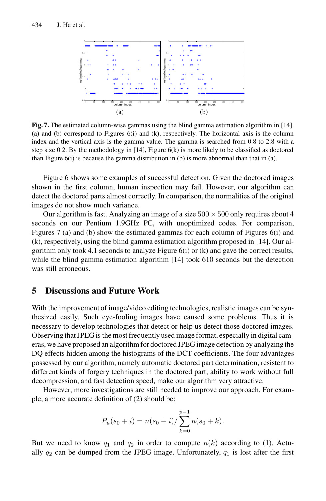

**Fig. 7.** The estimated column-wise gammas using the blind gamma estimation algorithm in [14]. (a) and (b) correspond to Figures  $6(i)$  and (k), respectively. The horizontal axis is the column index and the vertical axis is the gamma value. The gamma is searched from 0.8 to 2.8 with a step size 0.2. By the methodology in  $[14]$ , Figure 6(k) is more likely to be classified as doctored than Figure 6(i) is because the gamma distribution in (b) is more abnormal than that in (a).

Figure 6 shows some examples of successful detection. Given the doctored images shown in the first column, human inspection may fail. However, our algorithm can detect the doctored parts almost correctly. In comparison, the normalities of the original images do not show much variance.

Our algorithm is fast. Analyzing an image of a size  $500 \times 500$  only requires about 4 seconds on our Pentium 1.9GHz PC, with unoptimized codes. For comparison, Figures 7 (a) and (b) show the estimated gammas for each column of Figures 6(i) and (k), respectively, using the blind gamma estimation algorithm proposed in [14]. Our algorithm only took 4.1 seconds to analyze Figure  $6(i)$  or (k) and gave the correct results, while the blind gamma estimation algorithm [14] took 610 seconds but the detection was still erroneous.

### **5 Discussions and Future Work**

With the improvement of image/video editing technologies, realistic images can be synthesized easily. Such eye-fooling images have caused some problems. Thus it is necessary to develop technologies that detect or help us detect those doctored images. Observing that JPEG is the most frequently used image format, especially in digital cameras, we have proposed an algorithm for doctored JPEG image detection by analyzingthe DQ effects hidden among the histograms of the DCT coefficients. The four advantages possessed by our algorithm, namely automatic doctored part determination, resistent to different kinds of forgery techniques in the doctored part, ability to work without full decompression, and fast detection speed, make our algorithm very attractive.

However, more investigations are still needed to improve our approach. For example, a more accurate definition of (2) should be:

$$
P_u(s_0 + i) = n(s_0 + i) / \sum_{k=0}^{p-1} n(s_0 + k).
$$

But we need to know  $q_1$  and  $q_2$  in order to compute  $n(k)$  according to (1). Actually  $q_2$  can be dumped from the JPEG image. Unfortunately,  $q_1$  is lost after the first